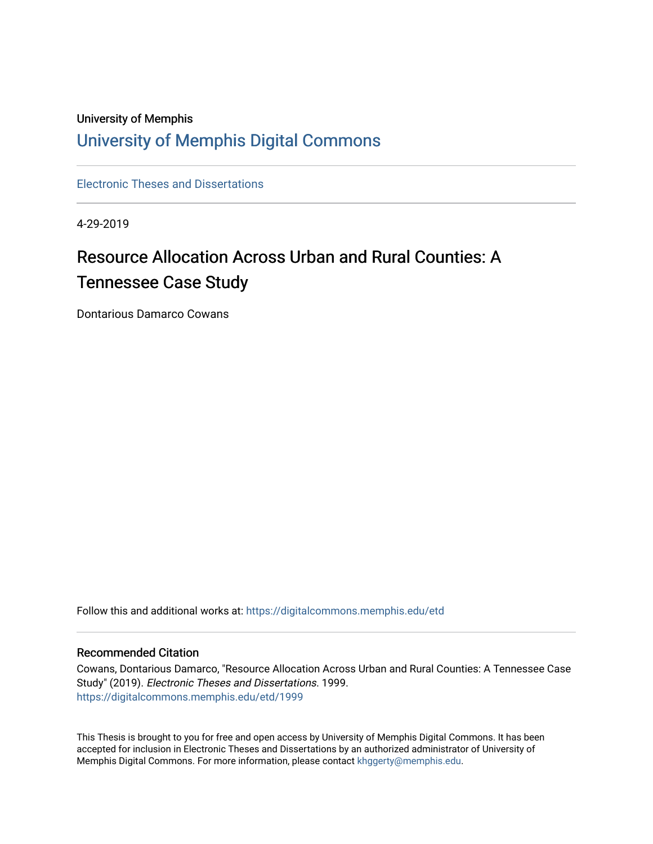## University of Memphis [University of Memphis Digital Commons](https://digitalcommons.memphis.edu/)

[Electronic Theses and Dissertations](https://digitalcommons.memphis.edu/etd)

4-29-2019

# Resource Allocation Across Urban and Rural Counties: A Tennessee Case Study

Dontarious Damarco Cowans

Follow this and additional works at: [https://digitalcommons.memphis.edu/etd](https://digitalcommons.memphis.edu/etd?utm_source=digitalcommons.memphis.edu%2Fetd%2F1999&utm_medium=PDF&utm_campaign=PDFCoverPages) 

#### Recommended Citation

Cowans, Dontarious Damarco, "Resource Allocation Across Urban and Rural Counties: A Tennessee Case Study" (2019). Electronic Theses and Dissertations. 1999. [https://digitalcommons.memphis.edu/etd/1999](https://digitalcommons.memphis.edu/etd/1999?utm_source=digitalcommons.memphis.edu%2Fetd%2F1999&utm_medium=PDF&utm_campaign=PDFCoverPages) 

This Thesis is brought to you for free and open access by University of Memphis Digital Commons. It has been accepted for inclusion in Electronic Theses and Dissertations by an authorized administrator of University of Memphis Digital Commons. For more information, please contact [khggerty@memphis.edu.](mailto:khggerty@memphis.edu)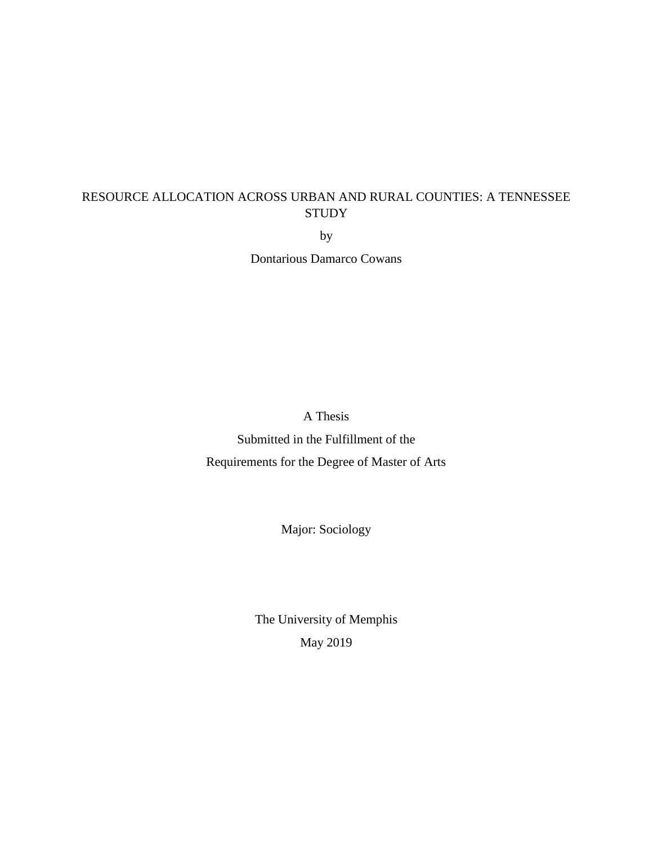### RESOURCE ALLOCATION ACROSS URBAN AND RURAL COUNTIES: A TENNESSEE **STUDY**

by

Dontarious Damarco Cowans

A Thesis

Submitted in the Fulfillment of the Requirements for the Degree of Master of Arts

Major: Sociology

The University of Memphis May 2019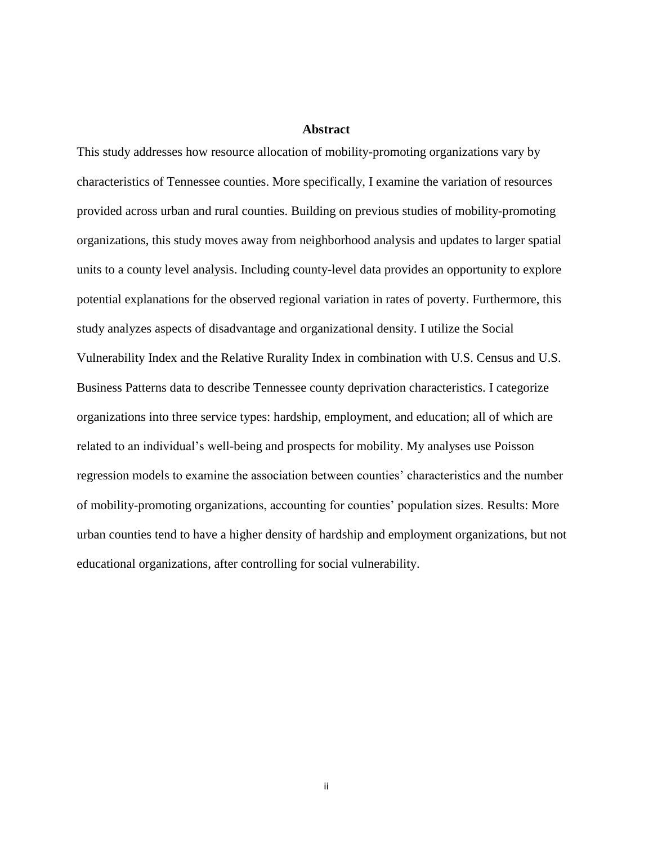#### **Abstract**

This study addresses how resource allocation of mobility-promoting organizations vary by characteristics of Tennessee counties. More specifically, I examine the variation of resources provided across urban and rural counties. Building on previous studies of mobility-promoting organizations, this study moves away from neighborhood analysis and updates to larger spatial units to a county level analysis. Including county-level data provides an opportunity to explore potential explanations for the observed regional variation in rates of poverty. Furthermore, this study analyzes aspects of disadvantage and organizational density. I utilize the Social Vulnerability Index and the Relative Rurality Index in combination with U.S. Census and U.S. Business Patterns data to describe Tennessee county deprivation characteristics. I categorize organizations into three service types: hardship, employment, and education; all of which are related to an individual's well-being and prospects for mobility. My analyses use Poisson regression models to examine the association between counties' characteristics and the number of mobility-promoting organizations, accounting for counties' population sizes. Results: More urban counties tend to have a higher density of hardship and employment organizations, but not educational organizations, after controlling for social vulnerability.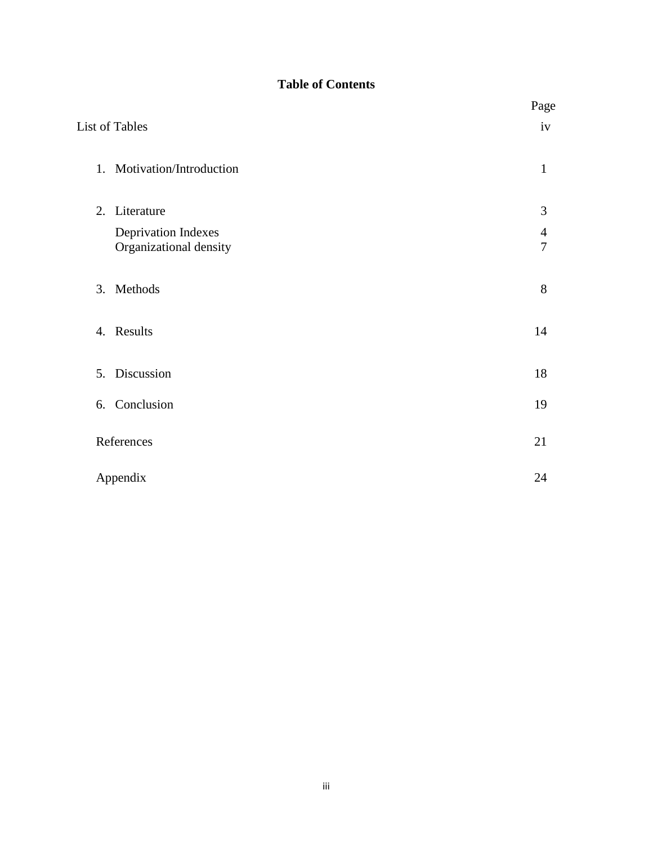### **Table of Contents**

|                |                                                      | Page                             |
|----------------|------------------------------------------------------|----------------------------------|
| List of Tables |                                                      | iv                               |
|                | 1. Motivation/Introduction                           | $\mathbf{1}$                     |
| 2.             | Literature                                           | 3                                |
|                | <b>Deprivation Indexes</b><br>Organizational density | $\overline{4}$<br>$\overline{7}$ |
| 3. Methods     |                                                      | 8                                |
| Results<br>4.  |                                                      | 14                               |
| 5. Discussion  |                                                      | 18                               |
| 6. Conclusion  |                                                      | 19                               |
| References     |                                                      | 21                               |
| Appendix       |                                                      | 24                               |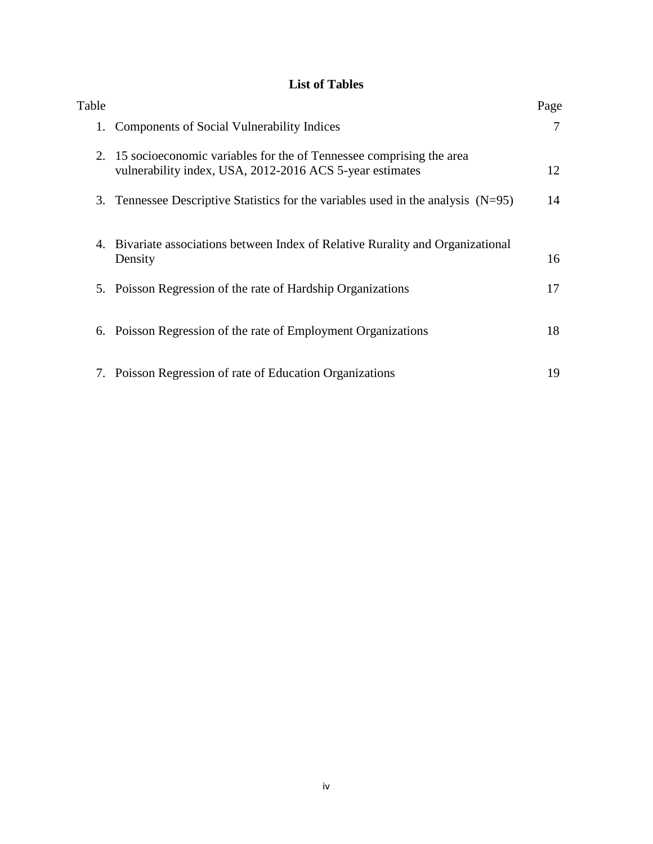### **List of Tables**

| Table |                                                                                                                                    | Page |
|-------|------------------------------------------------------------------------------------------------------------------------------------|------|
|       | 1. Components of Social Vulnerability Indices                                                                                      | 7    |
|       | 2. 15 socioeconomic variables for the of Tennessee comprising the area<br>vulnerability index, USA, 2012-2016 ACS 5-year estimates | 12   |
|       | 3. Tennessee Descriptive Statistics for the variables used in the analysis $(N=95)$                                                | 14   |
| 4.    | Bivariate associations between Index of Relative Rurality and Organizational<br>Density                                            | 16   |
|       | 5. Poisson Regression of the rate of Hardship Organizations                                                                        | 17   |
|       | 6. Poisson Regression of the rate of Employment Organizations                                                                      | 18   |
|       | 7. Poisson Regression of rate of Education Organizations                                                                           | 19   |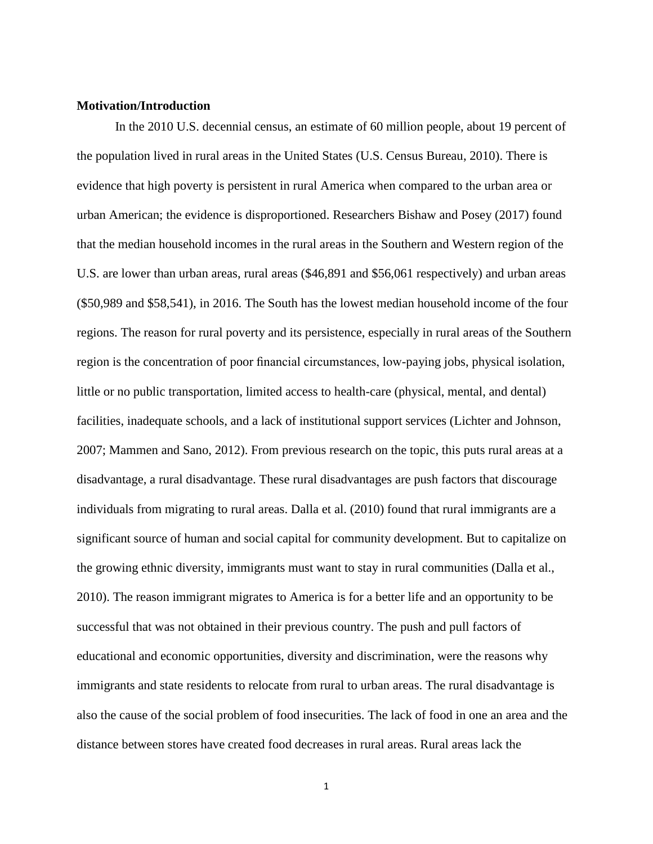#### **Motivation/Introduction**

In the 2010 U.S. decennial census, an estimate of 60 million people, about 19 percent of the population lived in rural areas in the United States (U.S. Census Bureau, 2010). There is evidence that high poverty is persistent in rural America when compared to the urban area or urban American; the evidence is disproportioned. Researchers Bishaw and Posey (2017) found that the median household incomes in the rural areas in the Southern and Western region of the U.S. are lower than urban areas, rural areas (\$46,891 and \$56,061 respectively) and urban areas (\$50,989 and \$58,541), in 2016. The South has the lowest median household income of the four regions. The reason for rural poverty and its persistence, especially in rural areas of the Southern region is the concentration of poor financial circumstances, low-paying jobs, physical isolation, little or no public transportation, limited access to health-care (physical, mental, and dental) facilities, inadequate schools, and a lack of institutional support services (Lichter and Johnson, 2007; Mammen and Sano, 2012). From previous research on the topic, this puts rural areas at a disadvantage, a rural disadvantage. These rural disadvantages are push factors that discourage individuals from migrating to rural areas. Dalla et al. (2010) found that rural immigrants are a significant source of human and social capital for community development. But to capitalize on the growing ethnic diversity, immigrants must want to stay in rural communities (Dalla et al., 2010). The reason immigrant migrates to America is for a better life and an opportunity to be successful that was not obtained in their previous country. The push and pull factors of educational and economic opportunities, diversity and discrimination, were the reasons why immigrants and state residents to relocate from rural to urban areas. The rural disadvantage is also the cause of the social problem of food insecurities. The lack of food in one an area and the distance between stores have created food decreases in rural areas. Rural areas lack the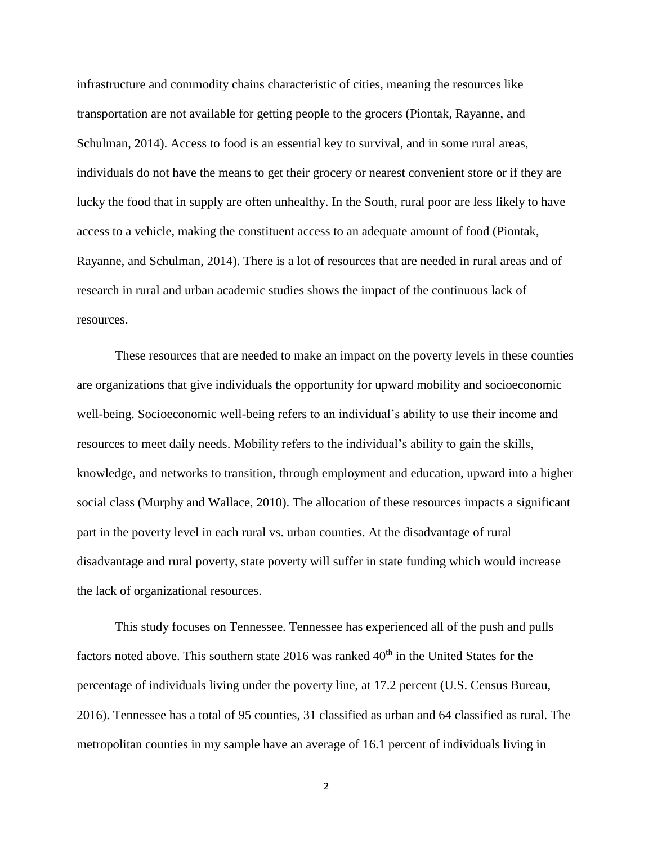infrastructure and commodity chains characteristic of cities, meaning the resources like transportation are not available for getting people to the grocers (Piontak, Rayanne, and Schulman, 2014). Access to food is an essential key to survival, and in some rural areas, individuals do not have the means to get their grocery or nearest convenient store or if they are lucky the food that in supply are often unhealthy. In the South, rural poor are less likely to have access to a vehicle, making the constituent access to an adequate amount of food (Piontak, Rayanne, and Schulman, 2014). There is a lot of resources that are needed in rural areas and of research in rural and urban academic studies shows the impact of the continuous lack of resources.

These resources that are needed to make an impact on the poverty levels in these counties are organizations that give individuals the opportunity for upward mobility and socioeconomic well-being. Socioeconomic well-being refers to an individual's ability to use their income and resources to meet daily needs. Mobility refers to the individual's ability to gain the skills, knowledge, and networks to transition, through employment and education, upward into a higher social class (Murphy and Wallace, 2010). The allocation of these resources impacts a significant part in the poverty level in each rural vs. urban counties. At the disadvantage of rural disadvantage and rural poverty, state poverty will suffer in state funding which would increase the lack of organizational resources.

This study focuses on Tennessee. Tennessee has experienced all of the push and pulls factors noted above. This southern state  $2016$  was ranked  $40<sup>th</sup>$  in the United States for the percentage of individuals living under the poverty line, at 17.2 percent (U.S. Census Bureau, 2016). Tennessee has a total of 95 counties, 31 classified as urban and 64 classified as rural. The metropolitan counties in my sample have an average of 16.1 percent of individuals living in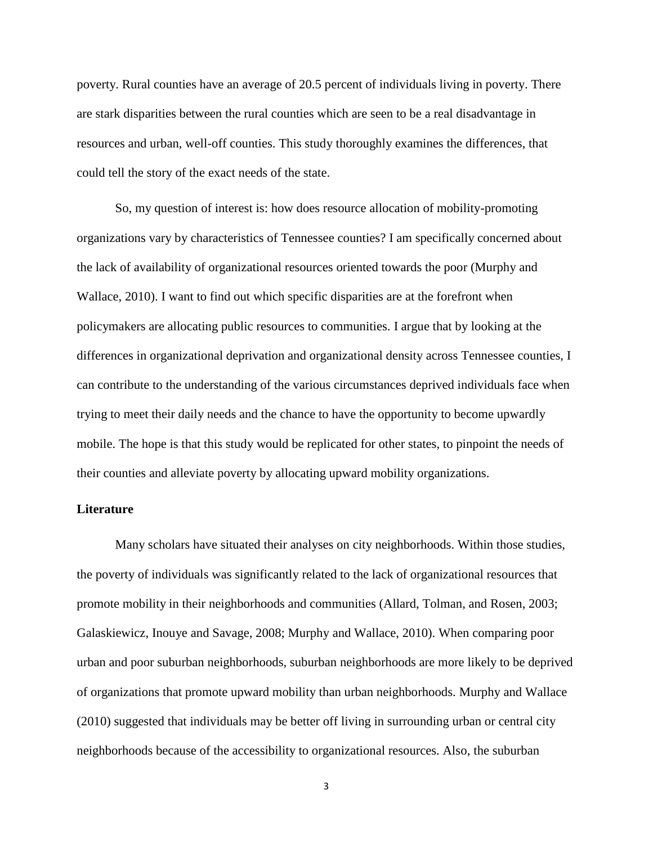poverty. Rural counties have an average of 20.5 percent of individuals living in poverty. There are stark disparities between the rural counties which are seen to be a real disadvantage in resources and urban, well-off counties. This study thoroughly examines the differences, that could tell the story of the exact needs of the state.

So, my question of interest is: how does resource allocation of mobility-promoting organizations vary by characteristics of Tennessee counties? I am specifically concerned about the lack of availability of organizational resources oriented towards the poor (Murphy and Wallace, 2010). I want to find out which specific disparities are at the forefront when policymakers are allocating public resources to communities. I argue that by looking at the differences in organizational deprivation and organizational density across Tennessee counties, I can contribute to the understanding of the various circumstances deprived individuals face when trying to meet their daily needs and the chance to have the opportunity to become upwardly mobile. The hope is that this study would be replicated for other states, to pinpoint the needs of their counties and alleviate poverty by allocating upward mobility organizations.

#### **Literature**

Many scholars have situated their analyses on city neighborhoods. Within those studies, the poverty of individuals was significantly related to the lack of organizational resources that promote mobility in their neighborhoods and communities (Allard, Tolman, and Rosen, 2003; Galaskiewicz, Inouye and Savage, 2008; Murphy and Wallace, 2010). When comparing poor urban and poor suburban neighborhoods, suburban neighborhoods are more likely to be deprived of organizations that promote upward mobility than urban neighborhoods. Murphy and Wallace (2010) suggested that individuals may be better off living in surrounding urban or central city neighborhoods because of the accessibility to organizational resources. Also, the suburban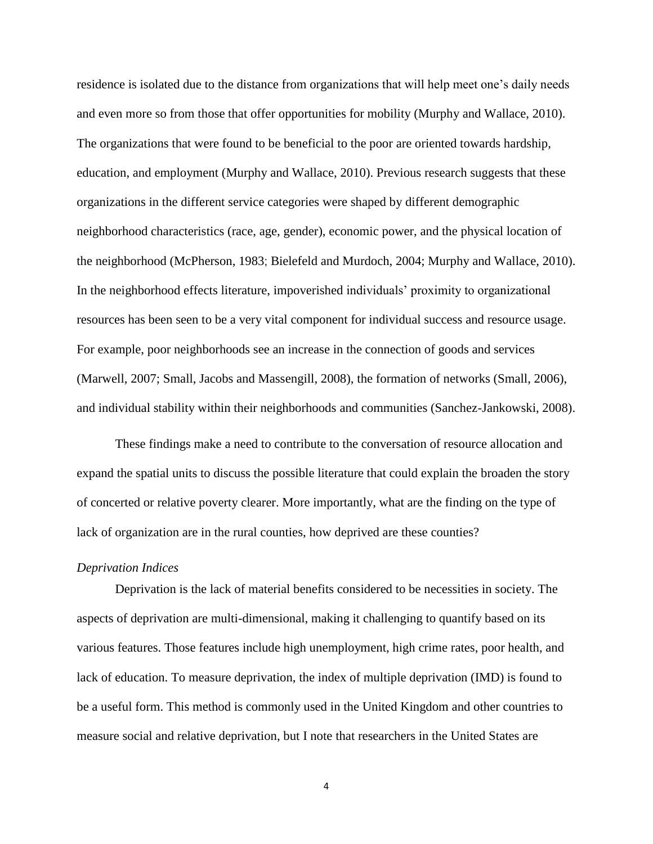residence is isolated due to the distance from organizations that will help meet one's daily needs and even more so from those that offer opportunities for mobility (Murphy and Wallace, 2010). The organizations that were found to be beneficial to the poor are oriented towards hardship, education, and employment (Murphy and Wallace, 2010). Previous research suggests that these organizations in the different service categories were shaped by different demographic neighborhood characteristics (race, age, gender), economic power, and the physical location of the neighborhood (McPherson, 1983; Bielefeld and Murdoch, 2004; Murphy and Wallace, 2010). In the neighborhood effects literature, impoverished individuals' proximity to organizational resources has been seen to be a very vital component for individual success and resource usage. For example, poor neighborhoods see an increase in the connection of goods and services (Marwell, 2007; Small, Jacobs and Massengill, 2008), the formation of networks (Small, 2006), and individual stability within their neighborhoods and communities (Sanchez-Jankowski, 2008).

These findings make a need to contribute to the conversation of resource allocation and expand the spatial units to discuss the possible literature that could explain the broaden the story of concerted or relative poverty clearer. More importantly, what are the finding on the type of lack of organization are in the rural counties, how deprived are these counties?

#### *Deprivation Indices*

Deprivation is the lack of material benefits considered to be necessities in society. The aspects of deprivation are multi-dimensional, making it challenging to quantify based on its various features. Those features include high unemployment, high crime rates, poor health, and lack of education. To measure deprivation, the index of multiple deprivation (IMD) is found to be a useful form. This method is commonly used in the United Kingdom and other countries to measure social and relative deprivation, but I note that researchers in the United States are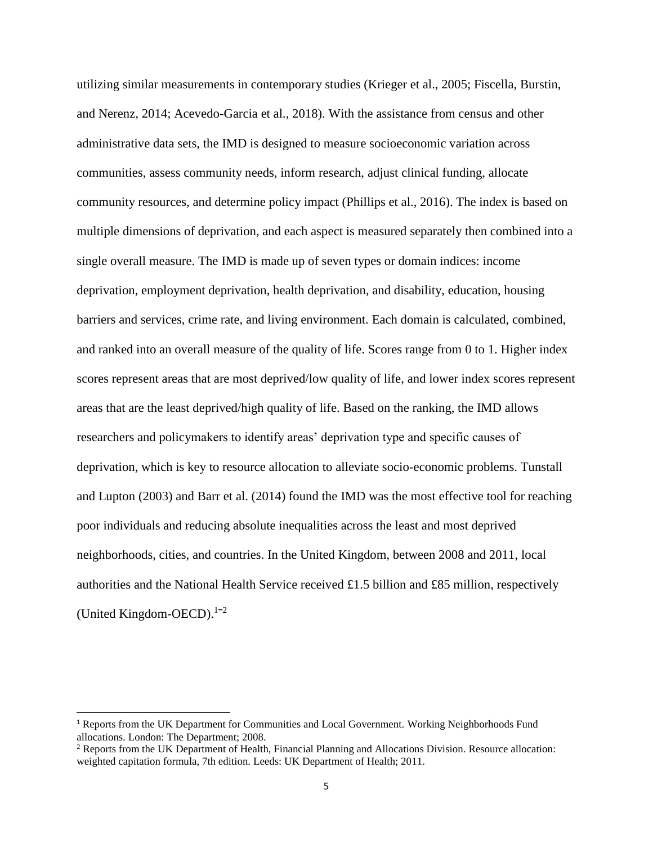utilizing similar measurements in contemporary studies (Krieger et al., 2005; Fiscella, Burstin, and Nerenz, 2014; Acevedo-Garcia et al., 2018). With the assistance from census and other administrative data sets, the IMD is designed to measure socioeconomic variation across communities, assess community needs, inform research, adjust clinical funding, allocate community resources, and determine policy impact (Phillips et al., 2016). The index is based on multiple dimensions of deprivation, and each aspect is measured separately then combined into a single overall measure. The IMD is made up of seven types or domain indices: income deprivation, employment deprivation, health deprivation, and disability, education, housing barriers and services, crime rate, and living environment. Each domain is calculated, combined, and ranked into an overall measure of the quality of life. Scores range from 0 to 1. Higher index scores represent areas that are most deprived/low quality of life, and lower index scores represent areas that are the least deprived/high quality of life. Based on the ranking, the IMD allows researchers and policymakers to identify areas' deprivation type and specific causes of deprivation, which is key to resource allocation to alleviate socio-economic problems. Tunstall and Lupton (2003) and Barr et al. (2014) found the IMD was the most effective tool for reaching poor individuals and reducing absolute inequalities across the least and most deprived neighborhoods, cities, and countries. In the United Kingdom, between 2008 and 2011, local authorities and the National Health Service received £1.5 billion and £85 million, respectively (United Kingdom-OECD). $1-2$ 

 $\overline{a}$ 

<sup>1</sup> Reports from the UK Department for Communities and Local Government. Working Neighborhoods Fund allocations. London: The Department; 2008.

<sup>&</sup>lt;sup>2</sup> Reports from the UK Department of Health, Financial Planning and Allocations Division. Resource allocation: weighted capitation formula, 7th edition. Leeds: UK Department of Health; 2011.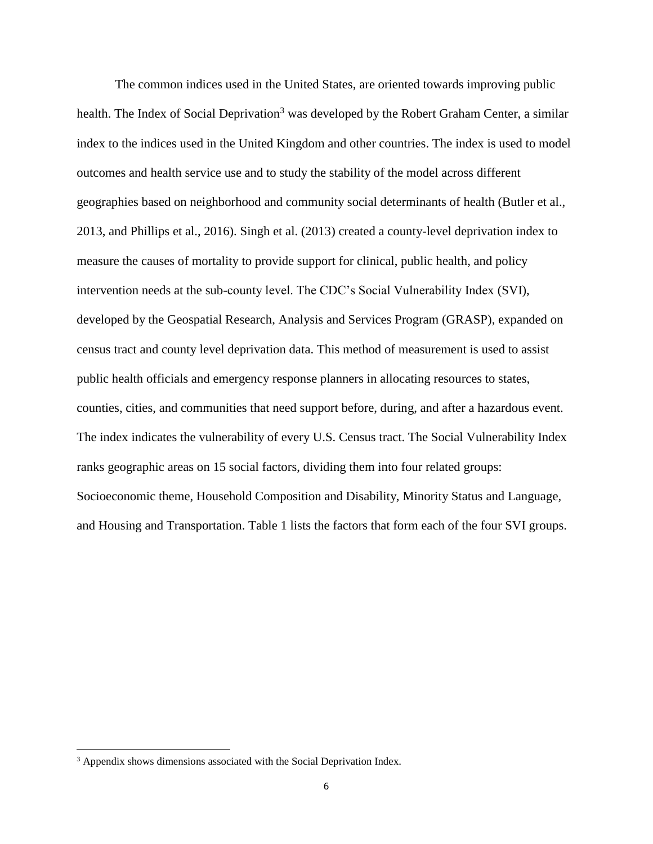The common indices used in the United States, are oriented towards improving public health. The Index of Social Deprivation<sup>3</sup> was developed by the Robert Graham Center, a similar index to the indices used in the United Kingdom and other countries. The index is used to model outcomes and health service use and to study the stability of the model across different geographies based on neighborhood and community social determinants of health (Butler et al., 2013, and Phillips et al., 2016). Singh et al. (2013) created a county-level deprivation index to measure the causes of mortality to provide support for clinical, public health, and policy intervention needs at the sub-county level. The CDC's Social Vulnerability Index (SVI), developed by the Geospatial Research, Analysis and Services Program (GRASP), expanded on census tract and county level deprivation data. This method of measurement is used to assist public health officials and emergency response planners in allocating resources to states, counties, cities, and communities that need support before, during, and after a hazardous event. The index indicates the vulnerability of every U.S. Census tract. The Social Vulnerability Index ranks geographic areas on 15 social factors, dividing them into four related groups: Socioeconomic theme, Household Composition and Disability, Minority Status and Language, and Housing and Transportation. Table 1 lists the factors that form each of the four SVI groups.

 $\overline{a}$ 

<sup>&</sup>lt;sup>3</sup> Appendix shows dimensions associated with the Social Deprivation Index.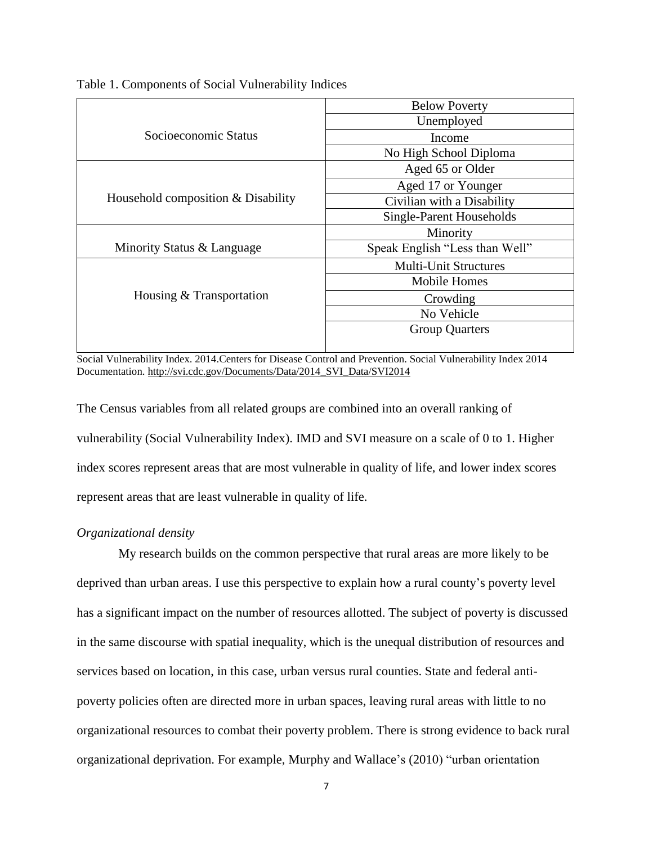Table 1. Components of Social Vulnerability Indices

|                                    | <b>Below Poverty</b>           |
|------------------------------------|--------------------------------|
|                                    | Unemployed                     |
| Socioeconomic Status               | Income                         |
|                                    | No High School Diploma         |
|                                    | Aged 65 or Older               |
|                                    | Aged 17 or Younger             |
| Household composition & Disability | Civilian with a Disability     |
|                                    | Single-Parent Households       |
|                                    | Minority                       |
| Minority Status & Language         | Speak English "Less than Well" |
|                                    | <b>Multi-Unit Structures</b>   |
|                                    | Mobile Homes                   |
| Housing & Transportation           | Crowding                       |
|                                    | No Vehicle                     |
|                                    | <b>Group Quarters</b>          |
|                                    |                                |

Social Vulnerability Index. 2014.Centers for Disease Control and Prevention. Social Vulnerability Index 2014 Documentation. [http://svi.cdc.gov/Documents/Data/2014\\_SVI\\_Data/SVI2014](http://svi.cdc.gov/Documents/Data/2014_SVI_Data/SVI2014)

The Census variables from all related groups are combined into an overall ranking of vulnerability (Social Vulnerability Index). IMD and SVI measure on a scale of 0 to 1. Higher index scores represent areas that are most vulnerable in quality of life, and lower index scores represent areas that are least vulnerable in quality of life.

#### *Organizational density*

My research builds on the common perspective that rural areas are more likely to be deprived than urban areas. I use this perspective to explain how a rural county's poverty level has a significant impact on the number of resources allotted. The subject of poverty is discussed in the same discourse with spatial inequality, which is the unequal distribution of resources and services based on location, in this case, urban versus rural counties. State and federal antipoverty policies often are directed more in urban spaces, leaving rural areas with little to no organizational resources to combat their poverty problem. There is strong evidence to back rural organizational deprivation. For example, Murphy and Wallace's (2010) "urban orientation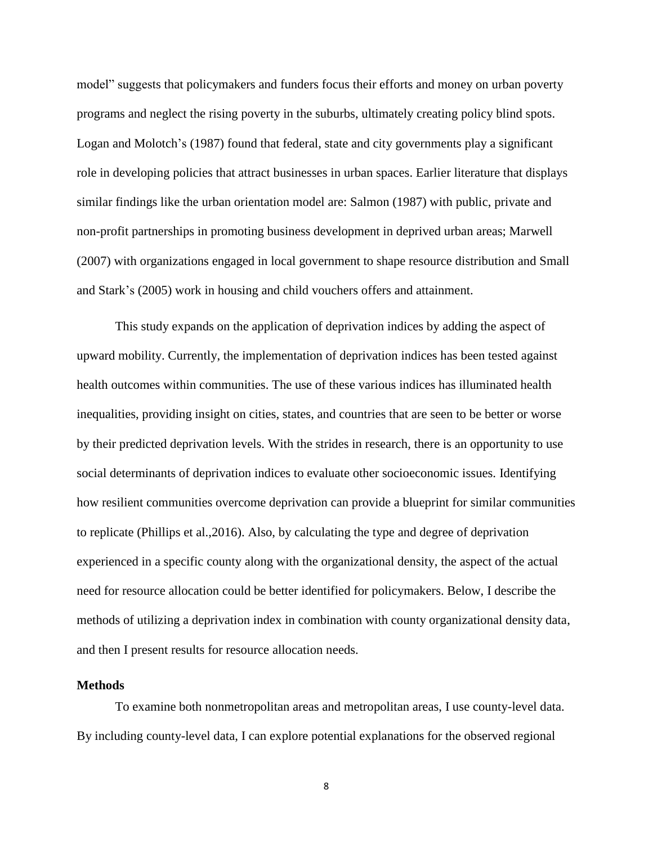model" suggests that policymakers and funders focus their efforts and money on urban poverty programs and neglect the rising poverty in the suburbs, ultimately creating policy blind spots. Logan and Molotch's (1987) found that federal, state and city governments play a significant role in developing policies that attract businesses in urban spaces. Earlier literature that displays similar findings like the urban orientation model are: Salmon (1987) with public, private and non-profit partnerships in promoting business development in deprived urban areas; Marwell (2007) with organizations engaged in local government to shape resource distribution and Small and Stark's (2005) work in housing and child vouchers offers and attainment.

This study expands on the application of deprivation indices by adding the aspect of upward mobility. Currently, the implementation of deprivation indices has been tested against health outcomes within communities. The use of these various indices has illuminated health inequalities, providing insight on cities, states, and countries that are seen to be better or worse by their predicted deprivation levels. With the strides in research, there is an opportunity to use social determinants of deprivation indices to evaluate other socioeconomic issues. Identifying how resilient communities overcome deprivation can provide a blueprint for similar communities to replicate (Phillips et al.,2016). Also, by calculating the type and degree of deprivation experienced in a specific county along with the organizational density, the aspect of the actual need for resource allocation could be better identified for policymakers. Below, I describe the methods of utilizing a deprivation index in combination with county organizational density data, and then I present results for resource allocation needs.

#### **Methods**

To examine both nonmetropolitan areas and metropolitan areas, I use county-level data. By including county-level data, I can explore potential explanations for the observed regional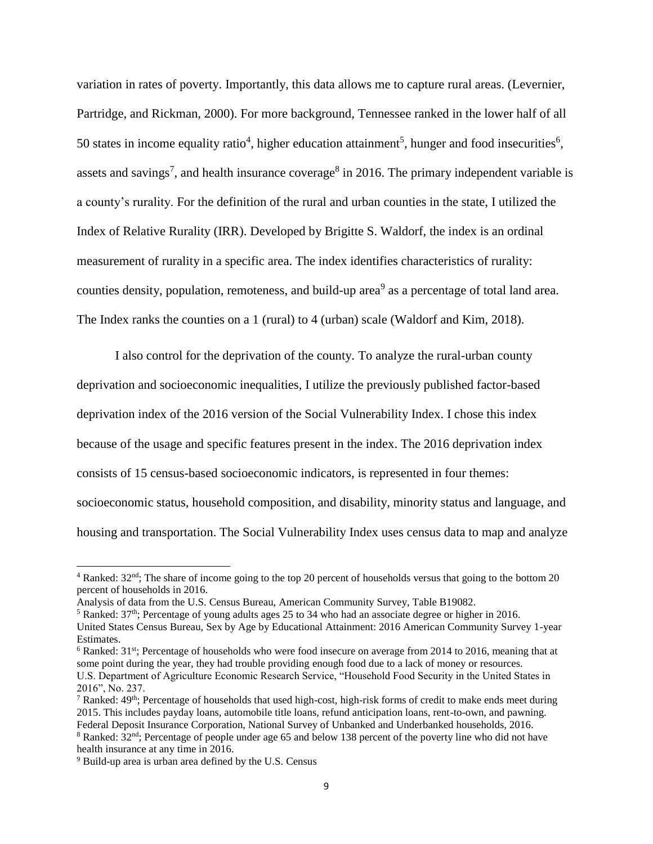variation in rates of poverty. Importantly, this data allows me to capture rural areas. (Levernier, Partridge, and Rickman, 2000). For more background, Tennessee ranked in the lower half of all 50 states in income equality ratio<sup>4</sup>, higher education attainment<sup>5</sup>, hunger and food insecurities<sup>6</sup>, assets and savings<sup>7</sup>, and health insurance coverage<sup>8</sup> in 2016. The primary independent variable is a county's rurality. For the definition of the rural and urban counties in the state, I utilized the Index of Relative Rurality (IRR). Developed by Brigitte S. Waldorf, the index is an ordinal measurement of rurality in a specific area. The index identifies characteristics of rurality: counties density, population, remoteness, and build-up area<sup>9</sup> as a percentage of total land area. The Index ranks the counties on a 1 (rural) to 4 (urban) scale (Waldorf and Kim, 2018).

I also control for the deprivation of the county. To analyze the rural-urban county deprivation and socioeconomic inequalities, I utilize the previously published factor-based deprivation index of the 2016 version of the Social Vulnerability Index. I chose this index because of the usage and specific features present in the index. The 2016 deprivation index consists of 15 census-based socioeconomic indicators, is represented in four themes: socioeconomic status, household composition, and disability, minority status and language, and housing and transportation. The Social Vulnerability Index uses census data to map and analyze

<sup>6</sup> Ranked: 31<sup>st</sup>; Percentage of households who were food insecure on average from 2014 to 2016, meaning that at some point during the year, they had trouble providing enough food due to a lack of money or resources. U.S. Department of Agriculture Economic Research Service, "Household Food Security in the United States in 2016", No. 237.

 $\overline{a}$ 

 $4$  Ranked:  $32<sup>nd</sup>$ ; The share of income going to the top 20 percent of households versus that going to the bottom 20 percent of households in 2016.

Analysis of data from the U.S. Census Bureau, American Community Survey, Table B19082.

<sup>5</sup> Ranked: 37th; Percentage of young adults ages 25 to 34 who had an associate degree or higher in 2016. United States Census Bureau, Sex by Age by Educational Attainment: 2016 American Community Survey 1-year Estimates.

 $7$  Ranked:  $49<sup>th</sup>$ ; Percentage of households that used high-cost, high-risk forms of credit to make ends meet during 2015. This includes payday loans, automobile title loans, refund anticipation loans, rent-to-own, and pawning. Federal Deposit Insurance Corporation, National Survey of Unbanked and Underbanked households, 2016.

<sup>&</sup>lt;sup>8</sup> Ranked: 32<sup>nd</sup>; Percentage of people under age 65 and below 138 percent of the poverty line who did not have health insurance at any time in 2016.

<sup>9</sup> Build-up area is urban area defined by the U.S. Census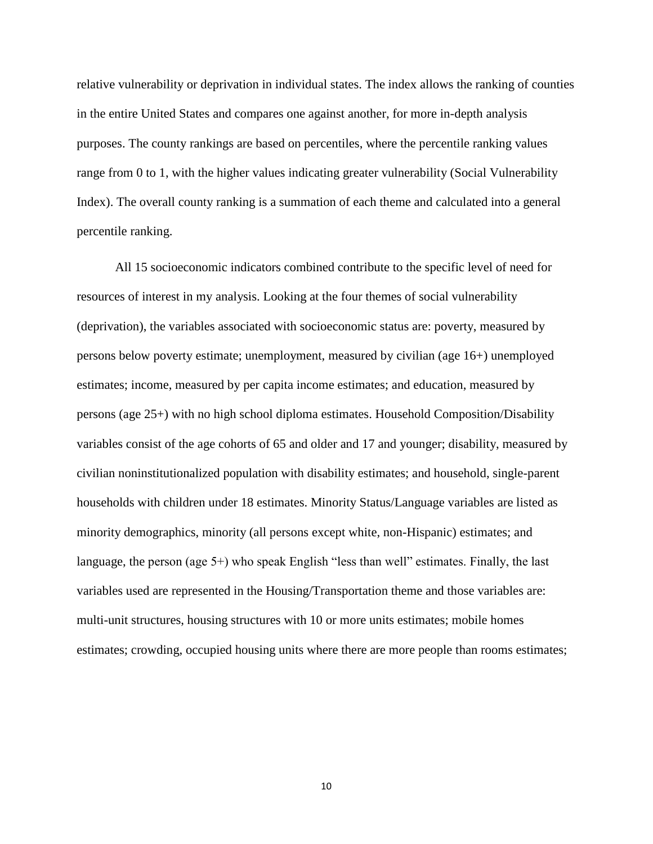relative vulnerability or deprivation in individual states. The index allows the ranking of counties in the entire United States and compares one against another, for more in-depth analysis purposes. The county rankings are based on percentiles, where the percentile ranking values range from 0 to 1, with the higher values indicating greater vulnerability (Social Vulnerability Index). The overall county ranking is a summation of each theme and calculated into a general percentile ranking.

All 15 socioeconomic indicators combined contribute to the specific level of need for resources of interest in my analysis. Looking at the four themes of social vulnerability (deprivation), the variables associated with socioeconomic status are: poverty, measured by persons below poverty estimate; unemployment, measured by civilian (age 16+) unemployed estimates; income, measured by per capita income estimates; and education, measured by persons (age 25+) with no high school diploma estimates. Household Composition/Disability variables consist of the age cohorts of 65 and older and 17 and younger; disability, measured by civilian noninstitutionalized population with disability estimates; and household, single-parent households with children under 18 estimates. Minority Status/Language variables are listed as minority demographics, minority (all persons except white, non-Hispanic) estimates; and language, the person (age 5+) who speak English "less than well" estimates. Finally, the last variables used are represented in the Housing/Transportation theme and those variables are: multi-unit structures, housing structures with 10 or more units estimates; mobile homes estimates; crowding, occupied housing units where there are more people than rooms estimates;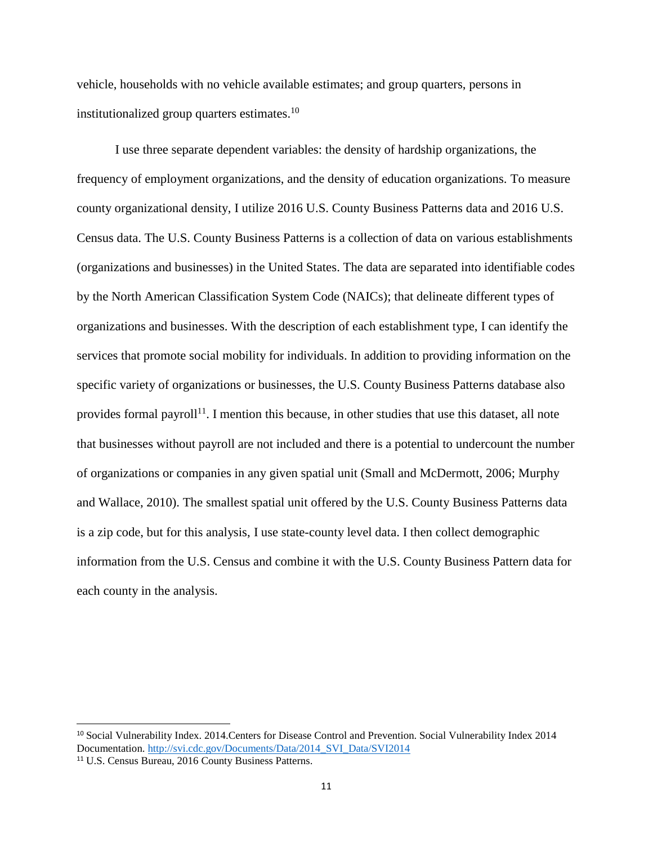vehicle, households with no vehicle available estimates; and group quarters, persons in institutionalized group quarters estimates. $10$ 

I use three separate dependent variables: the density of hardship organizations, the frequency of employment organizations, and the density of education organizations. To measure county organizational density, I utilize 2016 U.S. County Business Patterns data and 2016 U.S. Census data. The U.S. County Business Patterns is a collection of data on various establishments (organizations and businesses) in the United States. The data are separated into identifiable codes by the North American Classification System Code (NAICs); that delineate different types of organizations and businesses. With the description of each establishment type, I can identify the services that promote social mobility for individuals. In addition to providing information on the specific variety of organizations or businesses, the U.S. County Business Patterns database also provides formal payroll<sup>11</sup>. I mention this because, in other studies that use this dataset, all note that businesses without payroll are not included and there is a potential to undercount the number of organizations or companies in any given spatial unit (Small and McDermott, 2006; Murphy and Wallace, 2010). The smallest spatial unit offered by the U.S. County Business Patterns data is a zip code, but for this analysis, I use state-county level data. I then collect demographic information from the U.S. Census and combine it with the U.S. County Business Pattern data for each county in the analysis.

 $\overline{a}$ 

<sup>10</sup> Social Vulnerability Index. 2014.Centers for Disease Control and Prevention. Social Vulnerability Index 2014 Documentation[. http://svi.cdc.gov/Documents/Data/2014\\_SVI\\_Data/SVI2014](http://svi.cdc.gov/Documents/Data/2014_SVI_Data/SVI2014)

<sup>11</sup> U.S. Census Bureau, 2016 County Business Patterns.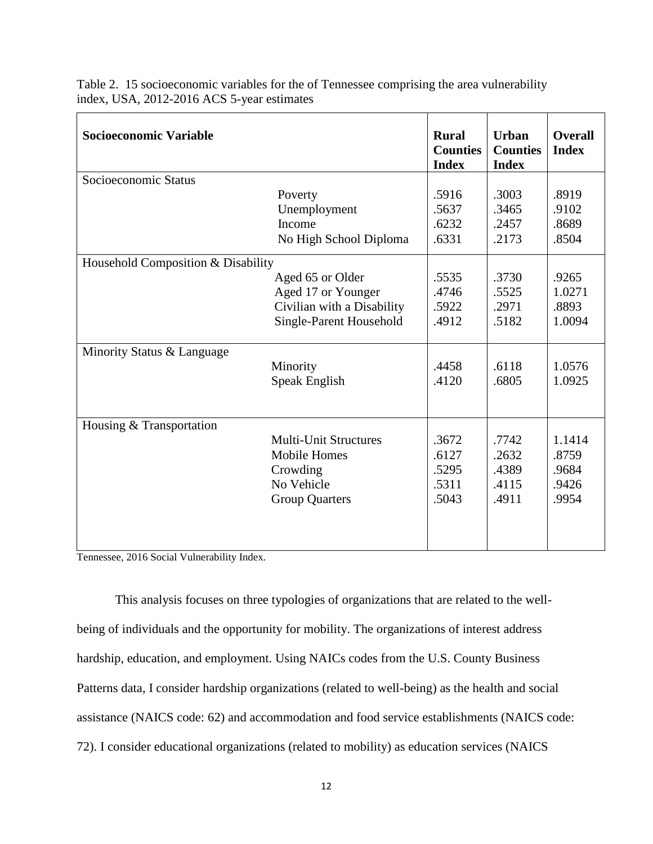| Socioeconomic Variable             |                              | <b>Rural</b><br><b>Counties</b><br><b>Index</b> | <b>Urban</b><br><b>Counties</b><br><b>Index</b> | <b>Overall</b><br><b>Index</b> |
|------------------------------------|------------------------------|-------------------------------------------------|-------------------------------------------------|--------------------------------|
| Socioeconomic Status               |                              |                                                 |                                                 |                                |
|                                    | Poverty<br>Unemployment      | .5916<br>.5637                                  | .3003<br>.3465                                  | .8919<br>.9102                 |
|                                    | Income                       | .6232                                           | .2457                                           | .8689                          |
|                                    | No High School Diploma       | .6331                                           | .2173                                           | .8504                          |
| Household Composition & Disability |                              |                                                 |                                                 |                                |
|                                    | Aged 65 or Older             | .5535                                           | .3730                                           | .9265                          |
|                                    | Aged 17 or Younger           | .4746                                           | .5525                                           | 1.0271                         |
|                                    | Civilian with a Disability   | .5922                                           | .2971                                           | .8893                          |
|                                    | Single-Parent Household      | .4912                                           | .5182                                           | 1.0094                         |
| Minority Status & Language         |                              |                                                 |                                                 |                                |
|                                    | Minority                     | .4458                                           | .6118                                           | 1.0576                         |
|                                    | Speak English                | .4120                                           | .6805                                           | 1.0925                         |
|                                    |                              |                                                 |                                                 |                                |
| Housing & Transportation           |                              |                                                 |                                                 |                                |
|                                    | <b>Multi-Unit Structures</b> | .3672                                           | .7742                                           | 1.1414                         |
|                                    | <b>Mobile Homes</b>          | .6127                                           | .2632                                           | .8759                          |
|                                    | Crowding                     | .5295                                           | .4389                                           | .9684                          |
|                                    | No Vehicle                   | .5311                                           | .4115                                           | .9426                          |
|                                    | <b>Group Quarters</b>        | .5043                                           | .4911                                           | .9954                          |
|                                    |                              |                                                 |                                                 |                                |
|                                    |                              |                                                 |                                                 |                                |

Table 2. 15 socioeconomic variables for the of Tennessee comprising the area vulnerability index, USA, 2012-2016 ACS 5-year estimates

Tennessee, 2016 Social Vulnerability Index.

This analysis focuses on three typologies of organizations that are related to the wellbeing of individuals and the opportunity for mobility. The organizations of interest address hardship, education, and employment. Using NAICs codes from the U.S. County Business Patterns data, I consider hardship organizations (related to well-being) as the health and social assistance (NAICS code: 62) and accommodation and food service establishments (NAICS code: 72). I consider educational organizations (related to mobility) as education services (NAICS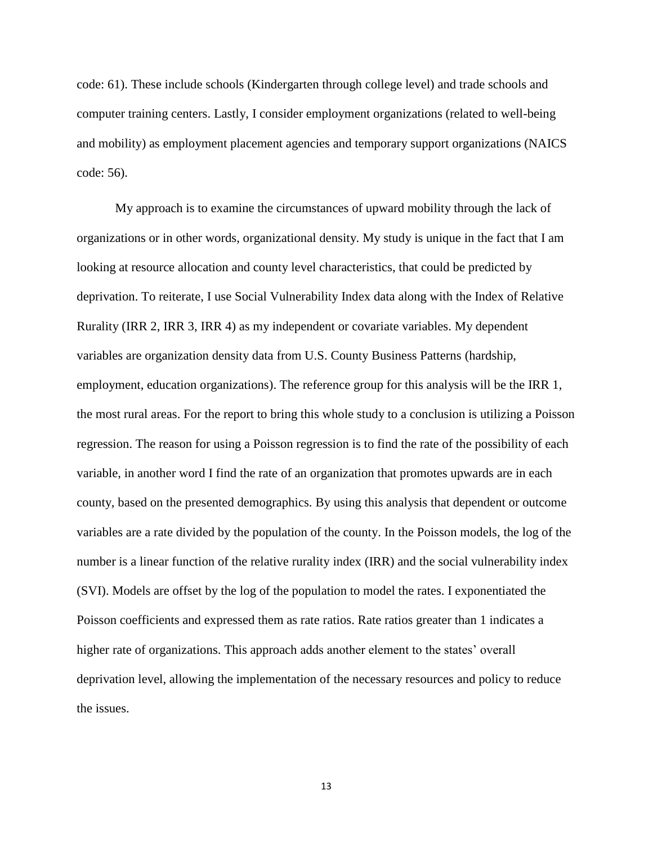code: 61). These include schools (Kindergarten through college level) and trade schools and computer training centers. Lastly, I consider employment organizations (related to well-being and mobility) as employment placement agencies and temporary support organizations (NAICS code: 56).

My approach is to examine the circumstances of upward mobility through the lack of organizations or in other words, organizational density. My study is unique in the fact that I am looking at resource allocation and county level characteristics, that could be predicted by deprivation. To reiterate, I use Social Vulnerability Index data along with the Index of Relative Rurality (IRR 2, IRR 3, IRR 4) as my independent or covariate variables. My dependent variables are organization density data from U.S. County Business Patterns (hardship, employment, education organizations). The reference group for this analysis will be the IRR 1, the most rural areas. For the report to bring this whole study to a conclusion is utilizing a Poisson regression. The reason for using a Poisson regression is to find the rate of the possibility of each variable, in another word I find the rate of an organization that promotes upwards are in each county, based on the presented demographics. By using this analysis that dependent or outcome variables are a rate divided by the population of the county. In the Poisson models, the log of the number is a linear function of the relative rurality index (IRR) and the social vulnerability index (SVI). Models are offset by the log of the population to model the rates. I exponentiated the Poisson coefficients and expressed them as rate ratios. Rate ratios greater than 1 indicates a higher rate of organizations. This approach adds another element to the states' overall deprivation level, allowing the implementation of the necessary resources and policy to reduce the issues.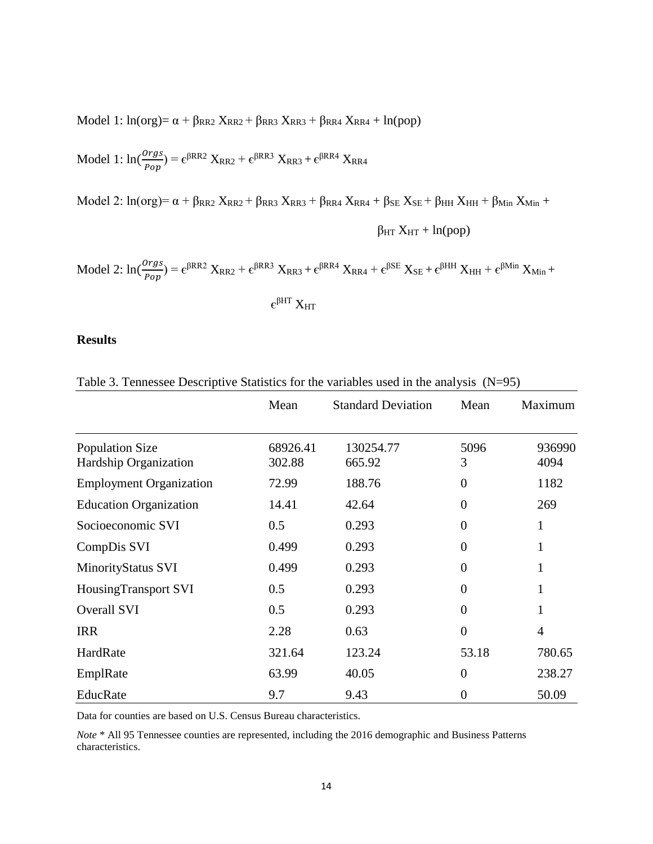Model 1:  $ln(org) = \alpha + \beta_{RR2} X_{RR2} + \beta_{RR3} X_{RR3} + \beta_{RR4} X_{RR4} + ln(pop)$ 

Model 1: 
$$
\ln(\frac{orgs}{Pop}) = \epsilon^{\beta RR2} X_{RR2} + \epsilon^{\beta RR3} X_{RR3} + \epsilon^{\beta RR4} X_{RR4}
$$

Model 2:  $ln(org) = \alpha + \beta_{RR2} X_{RR2} + \beta_{RR3} X_{RR3} + \beta_{RR4} X_{RR4} + \beta_{SE} X_{SE} + \beta_{HH} X_{HH} + \beta_{Min} X_{Min} + \beta_{N} X_{min} + \beta_{N} X_{min} + \beta_{N} X_{min} + \beta_{N} X_{min} + \beta_{N} X_{min} + \beta_{N} X_{min} + \beta_{N} X_{min} + \beta_{N} X_{min} + \beta_{N} X_{min} + \beta_{N} X_{min} + \beta_{N} X_{min} + \beta_{N} X_{min} + \beta_{N} X_{min} + \beta_{N} X_{$ 

$$
\beta_{HT} X_{HT} + ln(pop)
$$

$$
Model\ 2\colon ln(\frac{orgs}{Pop})=\varepsilon^{\beta RR2}\ X_{RR2}+\varepsilon^{\beta RR3}\ X_{RR3}+\varepsilon^{\beta RR4}\ X_{RR4}+\varepsilon^{\beta SE}\ X_{SE}+\varepsilon^{\beta HH}\ X_{HH}+\varepsilon^{\beta Min}\ X_{Min}+\varepsilon^{\beta RER}\ X_{RF4}+\varepsilon^{\beta RER}\ X_{RR5}+\varepsilon^{\beta RER}\ X_{RF6}+\varepsilon^{\beta RER}\ X_{RF7}+\varepsilon^{\beta RER}\ X_{RF8}+\varepsilon^{\beta RER}\ X_{RF9}
$$

 $\epsilon^{\beta\mathrm{HT}}\,\mathrm{X}_{\mathrm{HT}}$ 

#### **Results**

|                                                 | Mean               | <b>Standard Deviation</b> | Mean           | Maximum        |
|-------------------------------------------------|--------------------|---------------------------|----------------|----------------|
| <b>Population Size</b><br>Hardship Organization | 68926.41<br>302.88 | 130254.77<br>665.92       | 5096<br>3      | 936990<br>4094 |
| <b>Employment Organization</b>                  | 72.99              | 188.76                    | $\overline{0}$ | 1182           |
| <b>Education Organization</b>                   | 14.41              | 42.64                     | $\theta$       | 269            |
| Socioeconomic SVI                               | 0.5                | 0.293                     | $\Omega$       | 1              |
| CompDis SVI                                     | 0.499              | 0.293                     | $\theta$       | 1              |
| MinorityStatus SVI                              | 0.499              | 0.293                     | $\Omega$       | 1              |
| HousingTransport SVI                            | 0.5                | 0.293                     | $\theta$       | 1              |
| Overall SVI                                     | 0.5                | 0.293                     | $\Omega$       | 1              |
| <b>IRR</b>                                      | 2.28               | 0.63                      | $\overline{0}$ | $\overline{4}$ |
| HardRate                                        | 321.64             | 123.24                    | 53.18          | 780.65         |
| EmplRate                                        | 63.99              | 40.05                     | $\theta$       | 238.27         |
| EducRate                                        | 9.7                | 9.43                      | $\theta$       | 50.09          |

Table 3. Tennessee Descriptive Statistics for the variables used in the analysis (N=95)

Data for counties are based on U.S. Census Bureau characteristics.

*Note* \* All 95 Tennessee counties are represented, including the 2016 demographic and Business Patterns characteristics.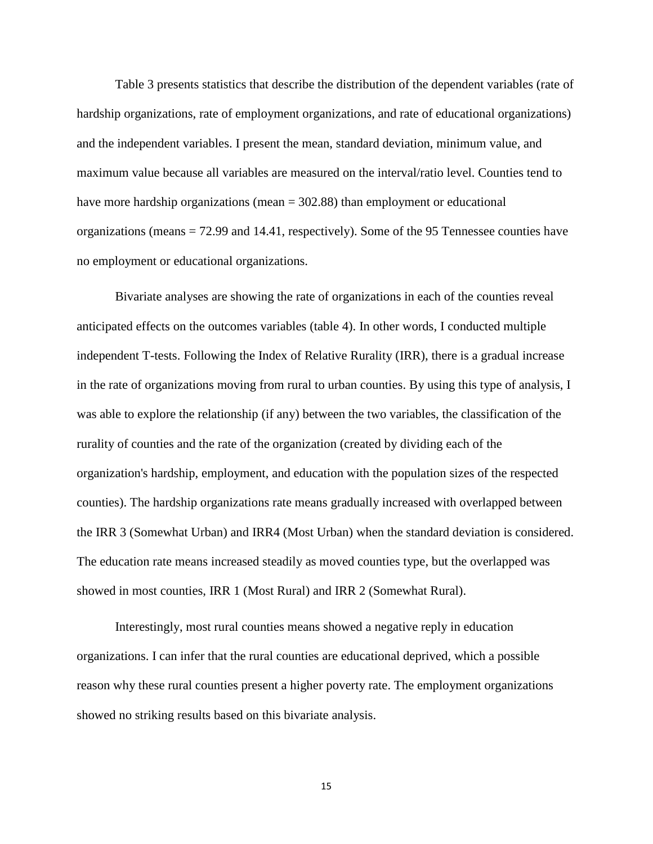Table 3 presents statistics that describe the distribution of the dependent variables (rate of hardship organizations, rate of employment organizations, and rate of educational organizations) and the independent variables. I present the mean, standard deviation, minimum value, and maximum value because all variables are measured on the interval/ratio level. Counties tend to have more hardship organizations (mean = 302.88) than employment or educational organizations (means = 72.99 and 14.41, respectively). Some of the 95 Tennessee counties have no employment or educational organizations.

Bivariate analyses are showing the rate of organizations in each of the counties reveal anticipated effects on the outcomes variables (table 4). In other words, I conducted multiple independent T-tests. Following the Index of Relative Rurality (IRR), there is a gradual increase in the rate of organizations moving from rural to urban counties. By using this type of analysis, I was able to explore the relationship (if any) between the two variables, the classification of the rurality of counties and the rate of the organization (created by dividing each of the organization's hardship, employment, and education with the population sizes of the respected counties). The hardship organizations rate means gradually increased with overlapped between the IRR 3 (Somewhat Urban) and IRR4 (Most Urban) when the standard deviation is considered. The education rate means increased steadily as moved counties type, but the overlapped was showed in most counties, IRR 1 (Most Rural) and IRR 2 (Somewhat Rural).

Interestingly, most rural counties means showed a negative reply in education organizations. I can infer that the rural counties are educational deprived, which a possible reason why these rural counties present a higher poverty rate. The employment organizations showed no striking results based on this bivariate analysis.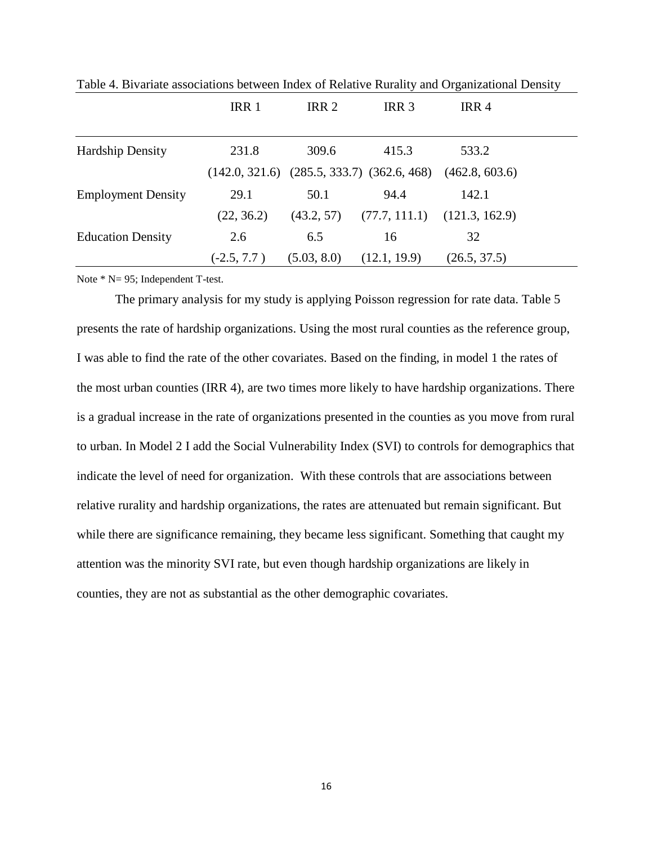|                           | IRR 1         | IRR <sub>2</sub> | IRR <sub>3</sub>                                                  | IRR <sub>4</sub> |  |
|---------------------------|---------------|------------------|-------------------------------------------------------------------|------------------|--|
| <b>Hardship Density</b>   | 231.8         | 309.6            | 415.3                                                             | 533.2            |  |
|                           |               |                  | $(142.0, 321.6)$ $(285.5, 333.7)$ $(362.6, 468)$ $(462.8, 603.6)$ |                  |  |
| <b>Employment Density</b> | 29.1          | 50.1             | 94.4                                                              | 142.1            |  |
|                           | (22, 36.2)    | (43.2, 57)       | (77.7, 111.1)                                                     | (121.3, 162.9)   |  |
| <b>Education Density</b>  | 2.6           | 6.5              | 16                                                                | 32               |  |
|                           | $(-2.5, 7.7)$ | (5.03, 8.0)      | (12.1, 19.9)                                                      | (26.5, 37.5)     |  |

Table 4. Bivariate associations between Index of Relative Rurality and Organizational Density

Note \* N= 95; Independent T-test.

The primary analysis for my study is applying Poisson regression for rate data. Table 5 presents the rate of hardship organizations. Using the most rural counties as the reference group, I was able to find the rate of the other covariates. Based on the finding, in model 1 the rates of the most urban counties (IRR 4), are two times more likely to have hardship organizations. There is a gradual increase in the rate of organizations presented in the counties as you move from rural to urban. In Model 2 I add the Social Vulnerability Index (SVI) to controls for demographics that indicate the level of need for organization. With these controls that are associations between relative rurality and hardship organizations, the rates are attenuated but remain significant. But while there are significance remaining, they became less significant. Something that caught my attention was the minority SVI rate, but even though hardship organizations are likely in counties, they are not as substantial as the other demographic covariates.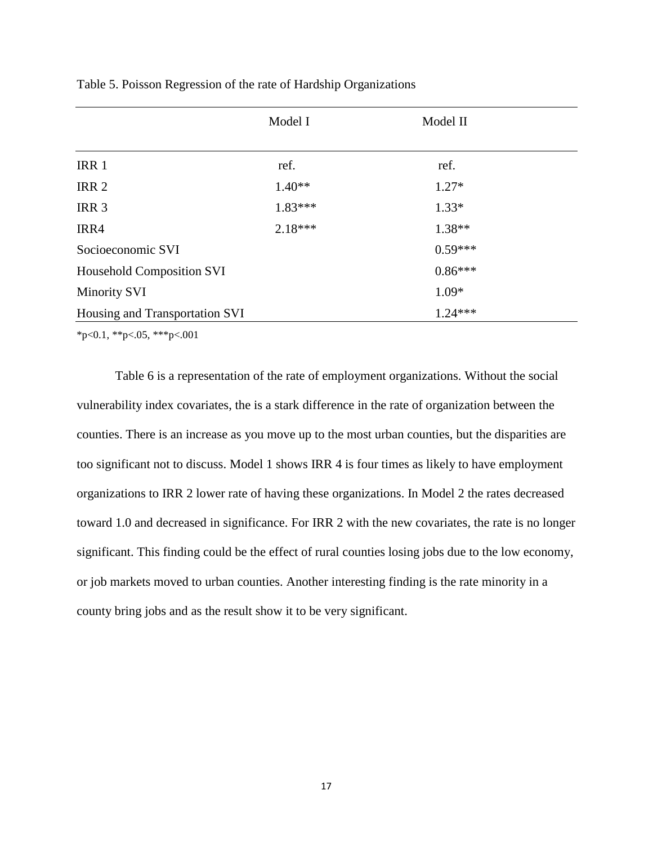|                                | Model I   | Model II  |  |
|--------------------------------|-----------|-----------|--|
| IRR 1                          | ref.      | ref.      |  |
| IRR <sub>2</sub>               | $1.40**$  | $1.27*$   |  |
| IRR <sub>3</sub>               | $1.83***$ | $1.33*$   |  |
| IRR4                           | $2.18***$ | $1.38**$  |  |
| Socioeconomic SVI              |           | $0.59***$ |  |
| Household Composition SVI      |           | $0.86***$ |  |
| <b>Minority SVI</b>            |           | $1.09*$   |  |
| Housing and Transportation SVI |           | $1.24***$ |  |

Table 5. Poisson Regression of the rate of Hardship Organizations

 $*p<0.1$ ,  $*p<0.5$ ,  $**p<0.01$ 

Table 6 is a representation of the rate of employment organizations. Without the social vulnerability index covariates, the is a stark difference in the rate of organization between the counties. There is an increase as you move up to the most urban counties, but the disparities are too significant not to discuss. Model 1 shows IRR 4 is four times as likely to have employment organizations to IRR 2 lower rate of having these organizations. In Model 2 the rates decreased toward 1.0 and decreased in significance. For IRR 2 with the new covariates, the rate is no longer significant. This finding could be the effect of rural counties losing jobs due to the low economy, or job markets moved to urban counties. Another interesting finding is the rate minority in a county bring jobs and as the result show it to be very significant.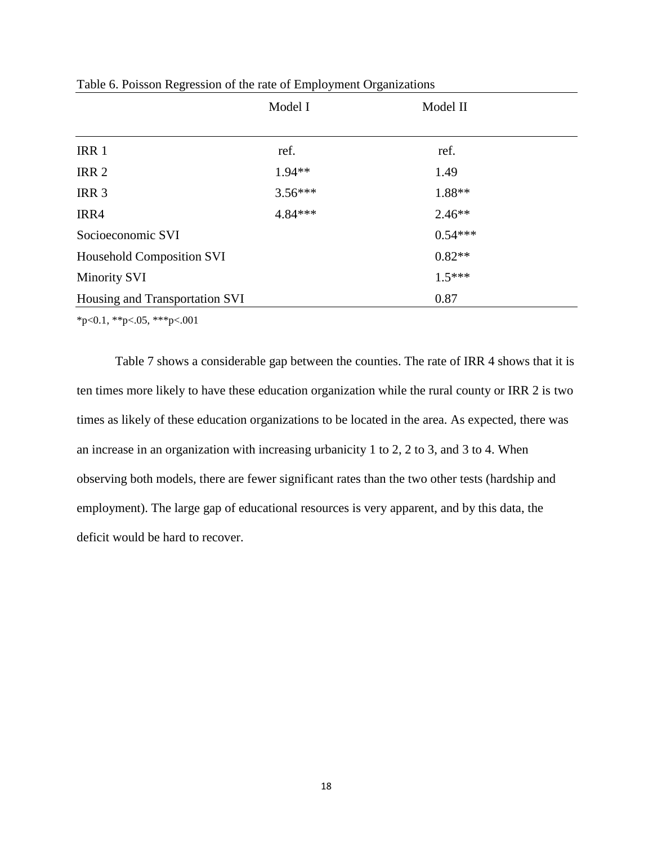|                                                                    | Model I   | Model II  |  |
|--------------------------------------------------------------------|-----------|-----------|--|
| IRR 1                                                              | ref.      | ref.      |  |
| IRR <sub>2</sub>                                                   | $1.94**$  | 1.49      |  |
| IRR <sub>3</sub>                                                   | $3.56***$ | 1.88**    |  |
| IRR4                                                               | 4.84***   | $2.46**$  |  |
| Socioeconomic SVI                                                  |           | $0.54***$ |  |
|                                                                    |           | $0.82**$  |  |
| <b>Minority SVI</b>                                                |           | $1.5***$  |  |
|                                                                    |           | 0.87      |  |
| <b>Household Composition SVI</b><br>Housing and Transportation SVI |           |           |  |

Table 6. Poisson Regression of the rate of Employment Organizations

\*p<0.1, \*\*p<.05, \*\*\*p<.001

Table 7 shows a considerable gap between the counties. The rate of IRR 4 shows that it is ten times more likely to have these education organization while the rural county or IRR 2 is two times as likely of these education organizations to be located in the area. As expected, there was an increase in an organization with increasing urbanicity 1 to 2, 2 to 3, and 3 to 4. When observing both models, there are fewer significant rates than the two other tests (hardship and employment). The large gap of educational resources is very apparent, and by this data, the deficit would be hard to recover.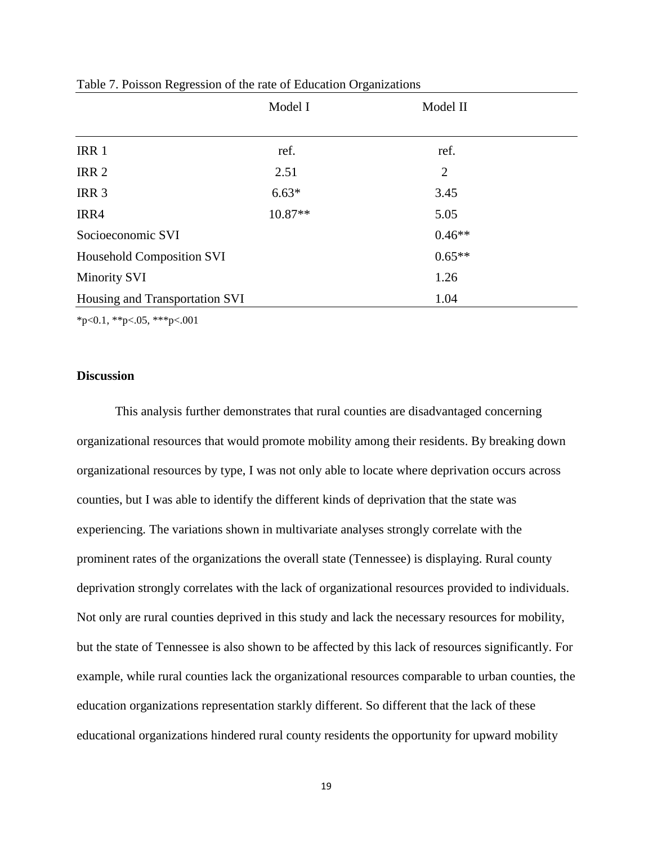|                                  | Model I | Model II |  |
|----------------------------------|---------|----------|--|
| IRR 1                            | ref.    | ref.     |  |
| IRR <sub>2</sub>                 | 2.51    | 2        |  |
| IRR <sub>3</sub>                 | $6.63*$ | 3.45     |  |
| IRR4                             | 10.87** | 5.05     |  |
| Socioeconomic SVI                |         | $0.46**$ |  |
| <b>Household Composition SVI</b> |         | $0.65**$ |  |
| <b>Minority SVI</b>              |         | 1.26     |  |
| Housing and Transportation SVI   |         | 1.04     |  |

|  |  | Table 7. Poisson Regression of the rate of Education Organizations |
|--|--|--------------------------------------------------------------------|
|  |  |                                                                    |

 $*p<0.1$ ,  $*p<0.5$ ,  $**p<0.01$ 

#### **Discussion**

This analysis further demonstrates that rural counties are disadvantaged concerning organizational resources that would promote mobility among their residents. By breaking down organizational resources by type, I was not only able to locate where deprivation occurs across counties, but I was able to identify the different kinds of deprivation that the state was experiencing. The variations shown in multivariate analyses strongly correlate with the prominent rates of the organizations the overall state (Tennessee) is displaying. Rural county deprivation strongly correlates with the lack of organizational resources provided to individuals. Not only are rural counties deprived in this study and lack the necessary resources for mobility, but the state of Tennessee is also shown to be affected by this lack of resources significantly. For example, while rural counties lack the organizational resources comparable to urban counties, the education organizations representation starkly different. So different that the lack of these educational organizations hindered rural county residents the opportunity for upward mobility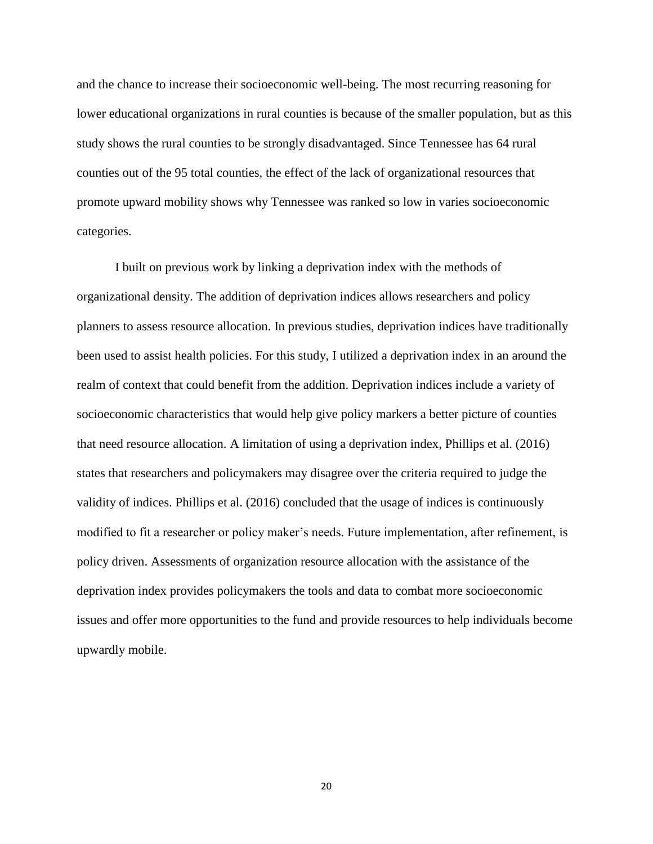and the chance to increase their socioeconomic well-being. The most recurring reasoning for lower educational organizations in rural counties is because of the smaller population, but as this study shows the rural counties to be strongly disadvantaged. Since Tennessee has 64 rural counties out of the 95 total counties, the effect of the lack of organizational resources that promote upward mobility shows why Tennessee was ranked so low in varies socioeconomic categories.

I built on previous work by linking a deprivation index with the methods of organizational density. The addition of deprivation indices allows researchers and policy planners to assess resource allocation. In previous studies, deprivation indices have traditionally been used to assist health policies. For this study, I utilized a deprivation index in an around the realm of context that could benefit from the addition. Deprivation indices include a variety of socioeconomic characteristics that would help give policy markers a better picture of counties that need resource allocation. A limitation of using a deprivation index, Phillips et al. (2016) states that researchers and policymakers may disagree over the criteria required to judge the validity of indices. Phillips et al. (2016) concluded that the usage of indices is continuously modified to fit a researcher or policy maker's needs. Future implementation, after refinement, is policy driven. Assessments of organization resource allocation with the assistance of the deprivation index provides policymakers the tools and data to combat more socioeconomic issues and offer more opportunities to the fund and provide resources to help individuals become upwardly mobile.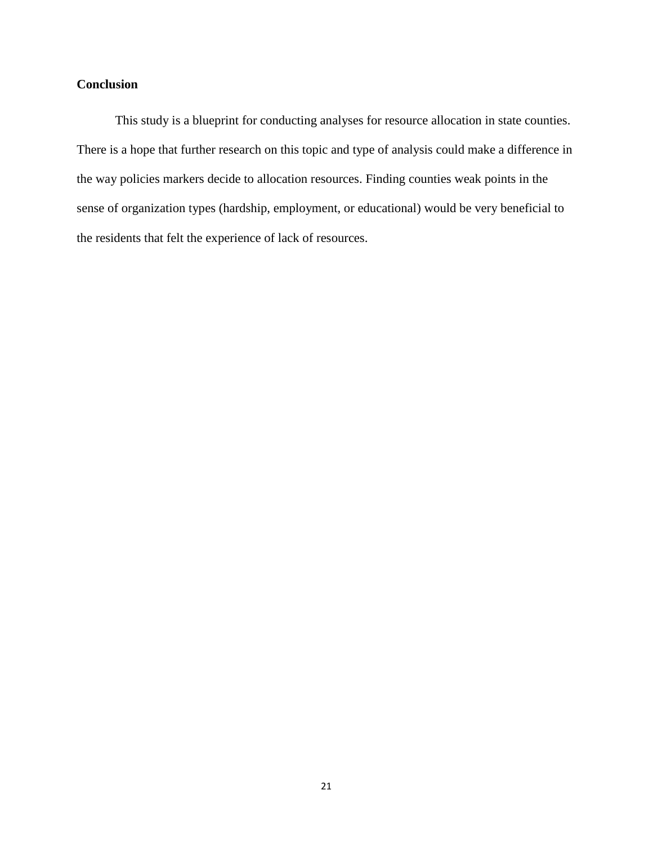### **Conclusion**

This study is a blueprint for conducting analyses for resource allocation in state counties. There is a hope that further research on this topic and type of analysis could make a difference in the way policies markers decide to allocation resources. Finding counties weak points in the sense of organization types (hardship, employment, or educational) would be very beneficial to the residents that felt the experience of lack of resources.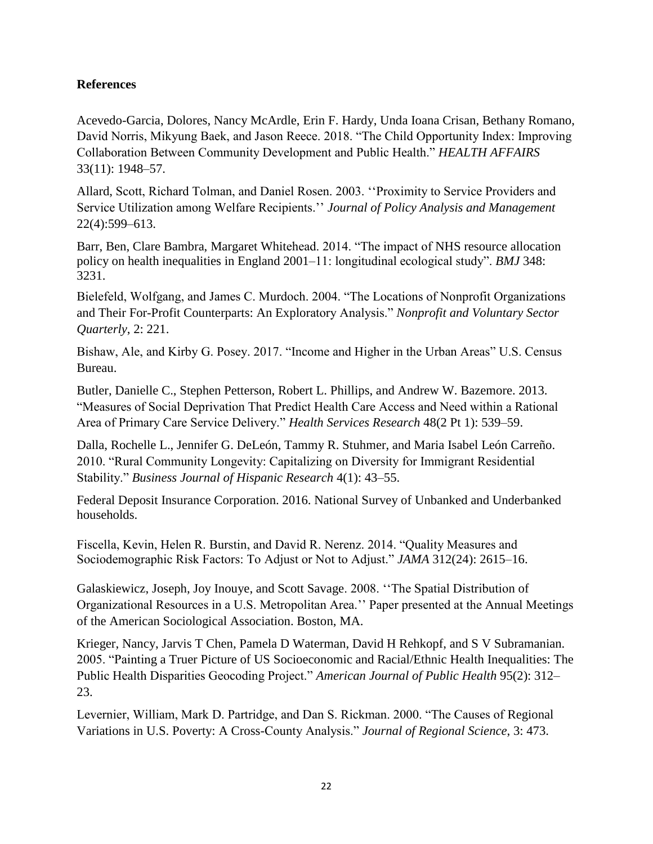### **References**

Acevedo-Garcia, Dolores, Nancy McArdle, Erin F. Hardy, Unda Ioana Crisan, Bethany Romano, David Norris, Mikyung Baek, and Jason Reece. 2018. "The Child Opportunity Index: Improving Collaboration Between Community Development and Public Health." *HEALTH AFFAIRS* 33(11): 1948–57.

Allard, Scott, Richard Tolman, and Daniel Rosen. 2003. ''Proximity to Service Providers and Service Utilization among Welfare Recipients.'' *Journal of Policy Analysis and Management*  22(4):599–613.

Barr, Ben, Clare Bambra, Margaret Whitehead. 2014. "The impact of NHS resource allocation policy on health inequalities in England 2001–11: longitudinal ecological study". *BMJ* 348: 3231.

Bielefeld, Wolfgang, and James C. Murdoch. 2004. "The Locations of Nonprofit Organizations and Their For-Profit Counterparts: An Exploratory Analysis." *Nonprofit and Voluntary Sector Quarterly*, 2: 221.

Bishaw, Ale, and Kirby G. Posey. 2017. "Income and Higher in the Urban Areas" U.S. Census Bureau.

Butler, Danielle C., Stephen Petterson, Robert L. Phillips, and Andrew W. Bazemore. 2013. "Measures of Social Deprivation That Predict Health Care Access and Need within a Rational Area of Primary Care Service Delivery." *Health Services Research* 48(2 Pt 1): 539–59.

Dalla, Rochelle L., Jennifer G. DeLeón, Tammy R. Stuhmer, and Maria Isabel León Carreño. 2010. "Rural Community Longevity: Capitalizing on Diversity for Immigrant Residential Stability." *Business Journal of Hispanic Research* 4(1): 43–55.

Federal Deposit Insurance Corporation. 2016. National Survey of Unbanked and Underbanked households.

Fiscella, Kevin, Helen R. Burstin, and David R. Nerenz. 2014. "Quality Measures and Sociodemographic Risk Factors: To Adjust or Not to Adjust." *JAMA* 312(24): 2615–16.

Galaskiewicz, Joseph, Joy Inouye, and Scott Savage. 2008. ''The Spatial Distribution of Organizational Resources in a U.S. Metropolitan Area.'' Paper presented at the Annual Meetings of the American Sociological Association. Boston, MA.

Krieger, Nancy, Jarvis T Chen, Pamela D Waterman, David H Rehkopf, and S V Subramanian. 2005. "Painting a Truer Picture of US Socioeconomic and Racial/Ethnic Health Inequalities: The Public Health Disparities Geocoding Project." *American Journal of Public Health* 95(2): 312– 23.

Levernier, William, Mark D. Partridge, and Dan S. Rickman. 2000. "The Causes of Regional Variations in U.S. Poverty: A Cross-County Analysis." *Journal of Regional Science*, 3: 473.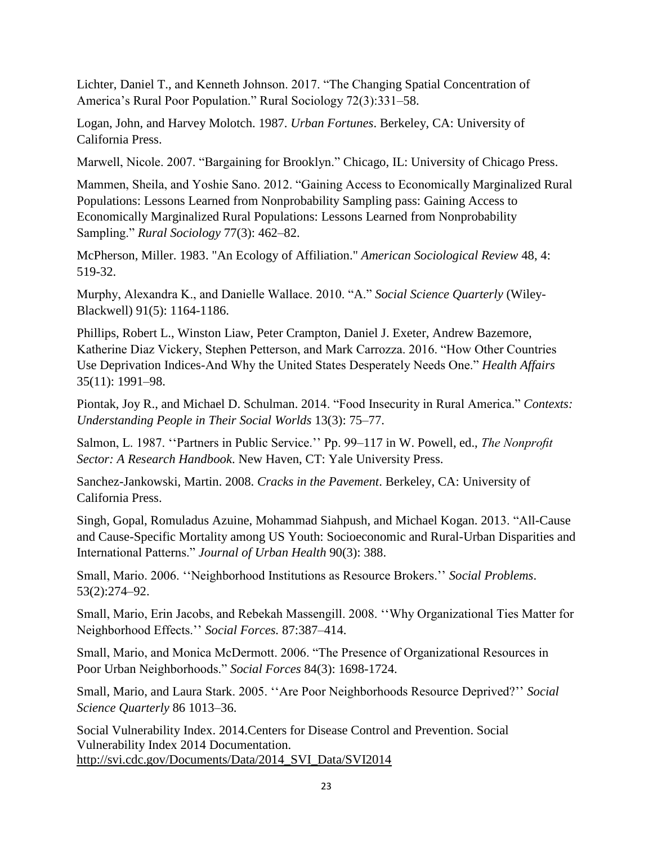Lichter, Daniel T., and Kenneth Johnson. 2017. "The Changing Spatial Concentration of America's Rural Poor Population." Rural Sociology 72(3):331–58.

Logan, John, and Harvey Molotch. 1987. *Urban Fortunes*. Berkeley, CA: University of California Press.

Marwell, Nicole. 2007. "Bargaining for Brooklyn." Chicago, IL: University of Chicago Press.

Mammen, Sheila, and Yoshie Sano. 2012. "Gaining Access to Economically Marginalized Rural Populations: Lessons Learned from Nonprobability Sampling pass: Gaining Access to Economically Marginalized Rural Populations: Lessons Learned from Nonprobability Sampling." *Rural Sociology* 77(3): 462–82.

McPherson, Miller. 1983. "An Ecology of Affiliation." *American Sociological Review* 48, 4: 519-32.

Murphy, Alexandra K., and Danielle Wallace. 2010. "A." *Social Science Quarterly* (Wiley-Blackwell) 91(5): 1164-1186.

Phillips, Robert L., Winston Liaw, Peter Crampton, Daniel J. Exeter, Andrew Bazemore, Katherine Diaz Vickery, Stephen Petterson, and Mark Carrozza. 2016. "How Other Countries Use Deprivation Indices-And Why the United States Desperately Needs One." *Health Affairs* 35(11): 1991–98.

Piontak, Joy R., and Michael D. Schulman. 2014. "Food Insecurity in Rural America." *Contexts: Understanding People in Their Social Worlds* 13(3): 75–77.

Salmon, L. 1987. ''Partners in Public Service.'' Pp. 99–117 in W. Powell, ed., *The Nonprofit Sector: A Research Handbook*. New Haven, CT: Yale University Press.

Sanchez-Jankowski, Martin. 2008. *Cracks in the Pavement*. Berkeley, CA: University of California Press.

Singh, Gopal, Romuladus Azuine, Mohammad Siahpush, and Michael Kogan. 2013. "All-Cause and Cause-Specific Mortality among US Youth: Socioeconomic and Rural-Urban Disparities and International Patterns." *Journal of Urban Health* 90(3): 388.

Small, Mario. 2006. ''Neighborhood Institutions as Resource Brokers.'' *Social Problems*. 53(2):274–92.

Small, Mario, Erin Jacobs, and Rebekah Massengill. 2008. ''Why Organizational Ties Matter for Neighborhood Effects.'' *Social Forces.* 87:387–414.

Small, Mario, and Monica McDermott. 2006. "The Presence of Organizational Resources in Poor Urban Neighborhoods." *Social Forces* 84(3): 1698-1724.

Small, Mario, and Laura Stark. 2005. ''Are Poor Neighborhoods Resource Deprived?'' *Social Science Quarterly* 86 1013–36.

Social Vulnerability Index. 2014.Centers for Disease Control and Prevention. Social Vulnerability Index 2014 Documentation. [http://svi.cdc.gov/Documents/Data/2014\\_SVI\\_Data/SVI2014](http://svi.cdc.gov/Documents/Data/2014_SVI_Data/SVI2014)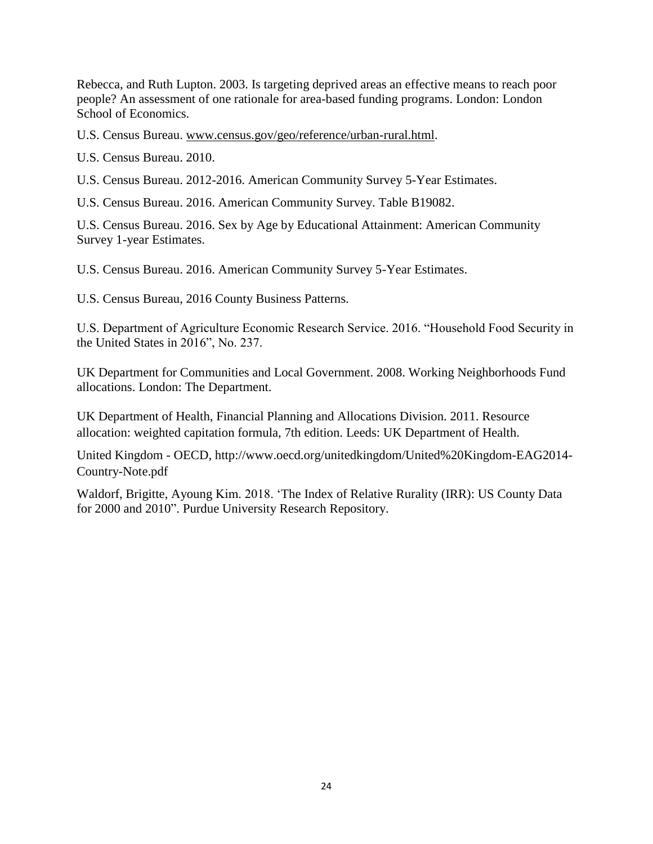Rebecca, and Ruth Lupton. 2003. Is targeting deprived areas an effective means to reach poor people? An assessment of one rationale for area-based funding programs. London: London School of Economics.

U.S. Census Bureau. [www.census.gov/geo/reference/urban-rural.html.](http://www.census.gov/geo/reference/urban-rural.html)

U.S. Census Bureau. 2010.

U.S. Census Bureau. 2012-2016. American Community Survey 5-Year Estimates.

U.S. Census Bureau. 2016. American Community Survey. Table B19082.

U.S. Census Bureau. 2016. Sex by Age by Educational Attainment: American Community Survey 1-year Estimates.

U.S. Census Bureau. 2016. American Community Survey 5-Year Estimates.

U.S. Census Bureau, 2016 County Business Patterns.

U.S. Department of Agriculture Economic Research Service. 2016. "Household Food Security in the United States in 2016", No. 237.

UK Department for Communities and Local Government. 2008. Working Neighborhoods Fund allocations. London: The Department.

UK Department of Health, Financial Planning and Allocations Division. 2011. Resource allocation: weighted capitation formula, 7th edition. Leeds: UK Department of Health.

United Kingdom - OECD, http://www.oecd.org/unitedkingdom/United%20Kingdom-EAG2014- Country-Note.pdf

Waldorf, Brigitte, Ayoung Kim. 2018. 'The Index of Relative Rurality (IRR): US County Data for 2000 and 2010". Purdue University Research Repository.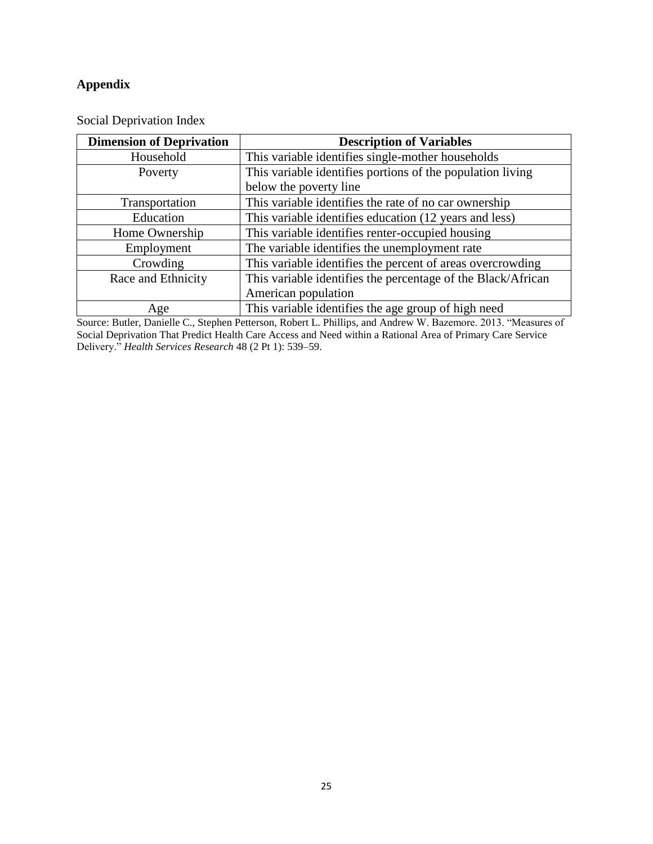### **Appendix**

| <b>Dimension of Deprivation</b> | <b>Description of Variables</b>                              |
|---------------------------------|--------------------------------------------------------------|
| Household                       | This variable identifies single-mother households            |
| Poverty                         | This variable identifies portions of the population living   |
|                                 | below the poverty line                                       |
| Transportation                  | This variable identifies the rate of no car ownership        |
| Education                       | This variable identifies education (12 years and less)       |
| Home Ownership                  | This variable identifies renter-occupied housing             |
| Employment                      | The variable identifies the unemployment rate                |
| Crowding                        | This variable identifies the percent of areas overcrowding   |
| Race and Ethnicity              | This variable identifies the percentage of the Black/African |
|                                 | American population                                          |
| Age                             | This variable identifies the age group of high need          |

Social Deprivation Index

Source: Butler, Danielle C., Stephen Petterson, Robert L. Phillips, and Andrew W. Bazemore. 2013. "Measures of Social Deprivation That Predict Health Care Access and Need within a Rational Area of Primary Care Service Delivery." *Health Services Research* 48 (2 Pt 1): 539–59.